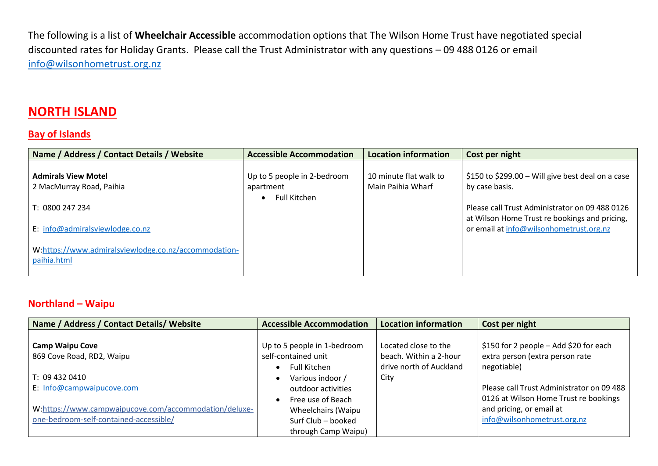The following is a list of **Wheelchair Accessible** accommodation options that The Wilson Home Trust have negotiated special discounted rates for Holiday Grants. Please call the Trust Administrator with any questions – 09 488 0126 or email [info@wilsonhometrust.org.nz](mailto:info@wilsonhometrust.org.nz)

#### **NORTH ISLAND**

#### **Bay of Islands**

| Name / Address / Contact Details / Website                                                             | <b>Accessible Accommodation</b>          | <b>Location information</b>                 | Cost per night                                                                                  |
|--------------------------------------------------------------------------------------------------------|------------------------------------------|---------------------------------------------|-------------------------------------------------------------------------------------------------|
| <b>Admirals View Motel</b><br>2 MacMurray Road, Paihia                                                 | Up to 5 people in 2-bedroom<br>apartment | 10 minute flat walk to<br>Main Paihia Wharf | \$150 to \$299.00 – Will give best deal on a case<br>by case basis.                             |
| T: 0800 247 234                                                                                        | <b>Full Kitchen</b>                      |                                             | Please call Trust Administrator on 09 488 0126<br>at Wilson Home Trust re bookings and pricing, |
| E: info@admiralsviewlodge.co.nz<br>W:https://www.admiralsviewlodge.co.nz/accommodation-<br>paihia.html |                                          |                                             | or email at info@wilsonhometrust.org.nz                                                         |

#### **Northland – Waipu**

| Name / Address / Contact Details/ Website                                                       | <b>Accessible Accommodation</b>                                           | <b>Location information</b>                                               | Cost per night                                                                           |
|-------------------------------------------------------------------------------------------------|---------------------------------------------------------------------------|---------------------------------------------------------------------------|------------------------------------------------------------------------------------------|
| <b>Camp Waipu Cove</b><br>869 Cove Road, RD2, Waipu                                             | Up to 5 people in 1-bedroom<br>self-contained unit<br><b>Full Kitchen</b> | Located close to the<br>beach. Within a 2-hour<br>drive north of Auckland | \$150 for 2 people - Add \$20 for each<br>extra person (extra person rate<br>negotiable) |
| T: 09 432 0410<br>E: Info@campwaipucove.com                                                     | Various indoor /<br>outdoor activities<br>Free use of Beach               | City                                                                      | Please call Trust Administrator on 09 488<br>0126 at Wilson Home Trust re bookings       |
| W:https://www.campwaipucove.com/accommodation/deluxe-<br>one-bedroom-self-contained-accessible/ | Wheelchairs (Waipu<br>Surf Club - booked<br>through Camp Waipu)           |                                                                           | and pricing, or email at<br>info@wilsonhometrust.org.nz                                  |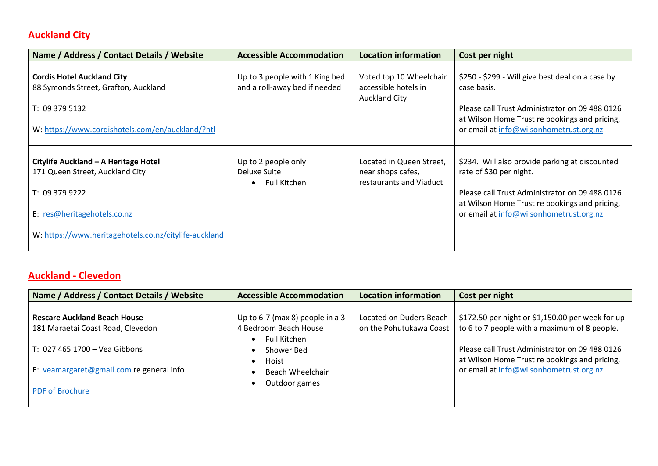# **Auckland City**

| Name / Address / Contact Details / Website                                                                                                                                        | <b>Accessible Accommodation</b>                                 | Location information                                                     | Cost per night                                                                                                                                                                                                          |
|-----------------------------------------------------------------------------------------------------------------------------------------------------------------------------------|-----------------------------------------------------------------|--------------------------------------------------------------------------|-------------------------------------------------------------------------------------------------------------------------------------------------------------------------------------------------------------------------|
| <b>Cordis Hotel Auckland City</b><br>88 Symonds Street, Grafton, Auckland<br>T: 09 379 5132<br>W: https://www.cordishotels.com/en/auckland/?htl                                   | Up to 3 people with 1 King bed<br>and a roll-away bed if needed | Voted top 10 Wheelchair<br>accessible hotels in<br><b>Auckland City</b>  | \$250 - \$299 - Will give best deal on a case by<br>case basis.<br>Please call Trust Administrator on 09 488 0126<br>at Wilson Home Trust re bookings and pricing,<br>or email at info@wilsonhometrust.org.nz           |
| Citylife Auckland - A Heritage Hotel<br>171 Queen Street, Auckland City<br>T: 09 379 9222<br>E: res@heritagehotels.co.nz<br>W: https://www.heritagehotels.co.nz/citylife-auckland | Up to 2 people only<br>Deluxe Suite<br><b>Full Kitchen</b>      | Located in Queen Street,<br>near shops cafes,<br>restaurants and Viaduct | \$234. Will also provide parking at discounted<br>rate of \$30 per night.<br>Please call Trust Administrator on 09 488 0126<br>at Wilson Home Trust re bookings and pricing,<br>or email at info@wilsonhometrust.org.nz |

#### **Auckland - Clevedon**

| Name / Address / Contact Details / Website                                                                                                            | <b>Accessible Accommodation</b>                                                                                      | <b>Location information</b>                        | Cost per night                                                                                                                                                                                                                                 |
|-------------------------------------------------------------------------------------------------------------------------------------------------------|----------------------------------------------------------------------------------------------------------------------|----------------------------------------------------|------------------------------------------------------------------------------------------------------------------------------------------------------------------------------------------------------------------------------------------------|
| <b>Rescare Auckland Beach House</b><br>181 Maraetai Coast Road, Clevedon<br>T: 027 465 1700 - Vea Gibbons<br>E: veamargaret@gmail.com re general info | Up to 6-7 (max 8) people in a 3-<br>4 Bedroom Beach House<br>Full Kitchen<br>Shower Bed<br>Hoist<br>Beach Wheelchair | Located on Duders Beach<br>on the Pohutukawa Coast | \$172.50 per night or \$1,150.00 per week for up<br>to 6 to 7 people with a maximum of 8 people.<br>Please call Trust Administrator on 09 488 0126<br>at Wilson Home Trust re bookings and pricing,<br>or email at info@wilsonhometrust.org.nz |
| <b>PDF of Brochure</b>                                                                                                                                | Outdoor games                                                                                                        |                                                    |                                                                                                                                                                                                                                                |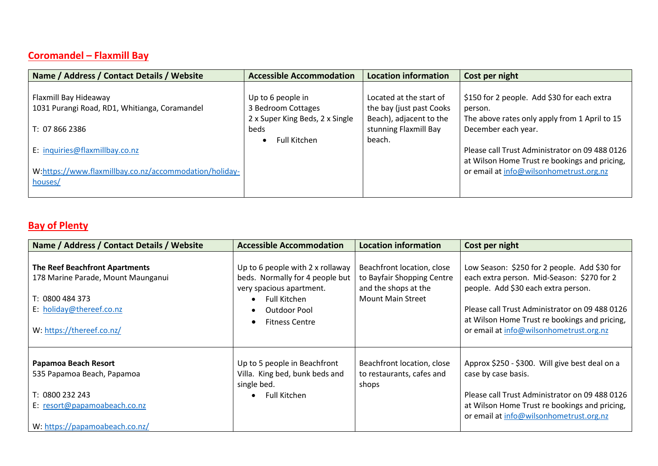## **Coromandel – Flaxmill Bay**

| Name / Address / Contact Details / Website                                                          | <b>Accessible Accommodation</b>                       | <b>Location information</b>                          | Cost per night                                                                                                                             |
|-----------------------------------------------------------------------------------------------------|-------------------------------------------------------|------------------------------------------------------|--------------------------------------------------------------------------------------------------------------------------------------------|
| Flaxmill Bay Hideaway                                                                               | Up to 6 people in                                     | Located at the start of                              | \$150 for 2 people. Add \$30 for each extra                                                                                                |
| 1031 Purangi Road, RD1, Whitianga, Coramandel                                                       | 3 Bedroom Cottages<br>2 x Super King Beds, 2 x Single | the bay (just past Cooks)<br>Beach), adjacent to the | person.<br>The above rates only apply from 1 April to 15                                                                                   |
| T: 07 866 2386                                                                                      | beds<br><b>Full Kitchen</b>                           | stunning Flaxmill Bay<br>beach.                      | December each year.                                                                                                                        |
| E: inquiries@flaxmillbay.co.nz<br>W:https://www.flaxmillbay.co.nz/accommodation/holiday-<br>houses/ |                                                       |                                                      | Please call Trust Administrator on 09 488 0126<br>at Wilson Home Trust re bookings and pricing,<br>or email at info@wilsonhometrust.org.nz |
|                                                                                                     |                                                       |                                                      |                                                                                                                                            |

# **Bay of Plenty**

| Name / Address / Contact Details / Website                                  | <b>Accessible Accommodation</b>                                                                 | <b>Location information</b>                                                      | Cost per night                                                                                                                             |
|-----------------------------------------------------------------------------|-------------------------------------------------------------------------------------------------|----------------------------------------------------------------------------------|--------------------------------------------------------------------------------------------------------------------------------------------|
| <b>The Reef Beachfront Apartments</b><br>178 Marine Parade, Mount Maunganui | Up to 6 people with 2 x rollaway<br>beds. Normally for 4 people but<br>very spacious apartment. | Beachfront location, close<br>to Bayfair Shopping Centre<br>and the shops at the | Low Season: \$250 for 2 people. Add \$30 for<br>each extra person. Mid-Season: \$270 for 2<br>people. Add \$30 each extra person.          |
| T: 0800 484 373                                                             | Full Kitchen                                                                                    | Mount Main Street                                                                |                                                                                                                                            |
| E: holiday@thereef.co.nz<br>W: https://thereef.co.nz/                       | Outdoor Pool<br><b>Fitness Centre</b>                                                           |                                                                                  | Please call Trust Administrator on 09 488 0126<br>at Wilson Home Trust re bookings and pricing,<br>or email at info@wilsonhometrust.org.nz |
|                                                                             |                                                                                                 |                                                                                  |                                                                                                                                            |
| Papamoa Beach Resort                                                        | Up to 5 people in Beachfront                                                                    | Beachfront location, close                                                       | Approx \$250 - \$300. Will give best deal on a                                                                                             |
| 535 Papamoa Beach, Papamoa                                                  | Villa. King bed, bunk beds and<br>single bed.                                                   | to restaurants, cafes and<br>shops                                               | case by case basis.                                                                                                                        |
| T: 0800 232 243                                                             | Full Kitchen                                                                                    |                                                                                  | Please call Trust Administrator on 09 488 0126                                                                                             |
| E: resort@papamoabeach.co.nz                                                |                                                                                                 |                                                                                  | at Wilson Home Trust re bookings and pricing,<br>or email at info@wilsonhometrust.org.nz                                                   |
| W: https://papamoabeach.co.nz/                                              |                                                                                                 |                                                                                  |                                                                                                                                            |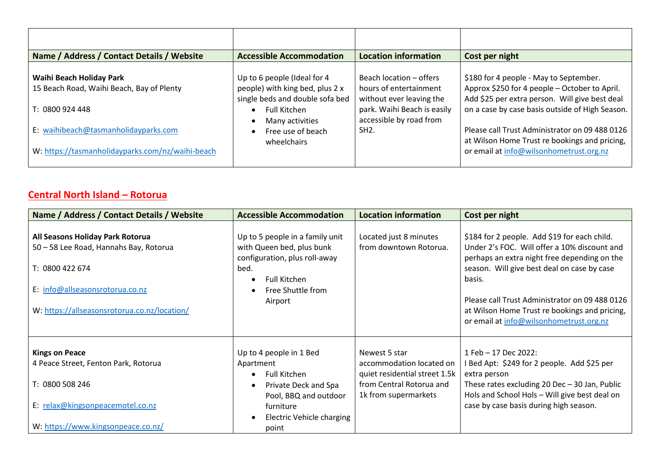| Name / Address / Contact Details / Website                                               | <b>Accessible Accommodation</b>                                                                   | <b>Location information</b>                                                   | Cost per night                                                                                                                             |
|------------------------------------------------------------------------------------------|---------------------------------------------------------------------------------------------------|-------------------------------------------------------------------------------|--------------------------------------------------------------------------------------------------------------------------------------------|
| Waihi Beach Holiday Park<br>15 Beach Road, Waihi Beach, Bay of Plenty                    | Up to 6 people (Ideal for 4<br>people) with king bed, plus 2 x<br>single beds and double sofa bed | Beach location - offers<br>hours of entertainment<br>without ever leaving the | \$180 for 4 people - May to September.<br>Approx \$250 for 4 people - October to April.<br>Add \$25 per extra person. Will give best deal  |
| T: 0800 924 448                                                                          | <b>Full Kitchen</b><br>Many activities                                                            | park. Waihi Beach is easily<br>accessible by road from                        | on a case by case basis outside of High Season.                                                                                            |
| E: waihibeach@tasmanholidayparks.com<br>W: https://tasmanholidayparks.com/nz/waihi-beach | Free use of beach<br>wheelchairs                                                                  | SH <sub>2</sub> .                                                             | Please call Trust Administrator on 09 488 0126<br>at Wilson Home Trust re bookings and pricing,<br>or email at info@wilsonhometrust.org.nz |

## **Central North Island – Rotorua**

| Name / Address / Contact Details / Website                                                                                                                                       | <b>Accessible Accommodation</b>                                                                                                                                 | <b>Location information</b>                                                                                                    | Cost per night                                                                                                                                                                                                                                                                                                                                      |
|----------------------------------------------------------------------------------------------------------------------------------------------------------------------------------|-----------------------------------------------------------------------------------------------------------------------------------------------------------------|--------------------------------------------------------------------------------------------------------------------------------|-----------------------------------------------------------------------------------------------------------------------------------------------------------------------------------------------------------------------------------------------------------------------------------------------------------------------------------------------------|
| All Seasons Holiday Park Rotorua<br>50 - 58 Lee Road, Hannahs Bay, Rotorua<br>T: 0800 422 674<br>E: info@allseasonsrotorua.co.nz<br>W: https://allseasonsrotorua.co.nz/location/ | Up to 5 people in a family unit<br>with Queen bed, plus bunk<br>configuration, plus roll-away<br>bed.<br>Full Kitchen<br>Free Shuttle from<br>Airport           | Located just 8 minutes<br>from downtown Rotorua.                                                                               | \$184 for 2 people. Add \$19 for each child.<br>Under 2's FOC. Will offer a 10% discount and<br>perhaps an extra night free depending on the<br>season. Will give best deal on case by case<br>basis.<br>Please call Trust Administrator on 09 488 0126<br>at Wilson Home Trust re bookings and pricing,<br>or email at info@wilsonhometrust.org.nz |
| <b>Kings on Peace</b><br>4 Peace Street, Fenton Park, Rotorua<br>T: 0800 508 246<br>E: relax@kingsonpeacemotel.co.nz<br>W: https://www.kingsonpeace.co.nz/                       | Up to 4 people in 1 Bed<br>Apartment<br>Full Kitchen<br>Private Deck and Spa<br>Pool, BBQ and outdoor<br>furniture<br><b>Electric Vehicle charging</b><br>point | Newest 5 star<br>accommodation located on<br>quiet residential street 1.5k<br>from Central Rotorua and<br>1k from supermarkets | 1 Feb - 17 Dec 2022:<br>I Bed Apt: \$249 for 2 people. Add \$25 per<br>extra person<br>These rates excluding 20 Dec $-$ 30 Jan, Public<br>Hols and School Hols - Will give best deal on<br>case by case basis during high season.                                                                                                                   |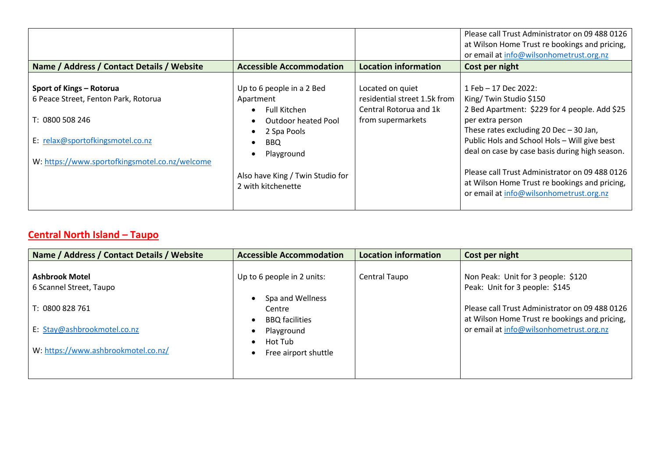| Name / Address / Contact Details / Website                       | <b>Accessible Accommodation</b>                        | <b>Location information</b>                      | Please call Trust Administrator on 09 488 0126<br>at Wilson Home Trust re bookings and pricing,<br>or email at info@wilsonhometrust.org.nz<br>Cost per night |
|------------------------------------------------------------------|--------------------------------------------------------|--------------------------------------------------|--------------------------------------------------------------------------------------------------------------------------------------------------------------|
|                                                                  |                                                        |                                                  |                                                                                                                                                              |
| Sport of Kings - Rotorua<br>6 Peace Street, Fenton Park, Rotorua | Up to 6 people in a 2 Bed<br>Apartment                 | Located on quiet<br>residential street 1.5k from | 1 Feb - 17 Dec 2022:<br>King/Twin Studio \$150                                                                                                               |
| T: 0800 508 246                                                  | <b>Full Kitchen</b><br><b>Outdoor heated Pool</b>      | Central Rotorua and 1k<br>from supermarkets      | 2 Bed Apartment: \$229 for 4 people. Add \$25<br>per extra person                                                                                            |
| E: relax@sportofkingsmotel.co.nz                                 | 2 Spa Pools<br><b>BBQ</b><br>Playground                |                                                  | These rates excluding $20$ Dec $-30$ Jan,<br>Public Hols and School Hols - Will give best<br>deal on case by case basis during high season.                  |
| W: https://www.sportofkingsmotel.co.nz/welcome                   | Also have King / Twin Studio for<br>2 with kitchenette |                                                  | Please call Trust Administrator on 09 488 0126<br>at Wilson Home Trust re bookings and pricing,<br>or email at info@wilsonhometrust.org.nz                   |

#### **Central North Island – Taupo**

| Name / Address / Contact Details / Website                         | <b>Accessible Accommodation</b>                     | <b>Location information</b> | Cost per night                                                                                  |
|--------------------------------------------------------------------|-----------------------------------------------------|-----------------------------|-------------------------------------------------------------------------------------------------|
| <b>Ashbrook Motel</b><br>6 Scannel Street, Taupo                   | Up to 6 people in 2 units:                          | Central Taupo               | Non Peak: Unit for 3 people: \$120<br>Peak: Unit for 3 people: \$145                            |
| T: 0800 828 761                                                    | Spa and Wellness<br>Centre<br><b>BBQ</b> facilities |                             | Please call Trust Administrator on 09 488 0126<br>at Wilson Home Trust re bookings and pricing, |
| E: Stay@ashbrookmotel.co.nz<br>W: https://www.ashbrookmotel.co.nz/ | Playground<br>Hot Tub<br>Free airport shuttle       |                             | or email at info@wilsonhometrust.org.nz                                                         |
|                                                                    |                                                     |                             |                                                                                                 |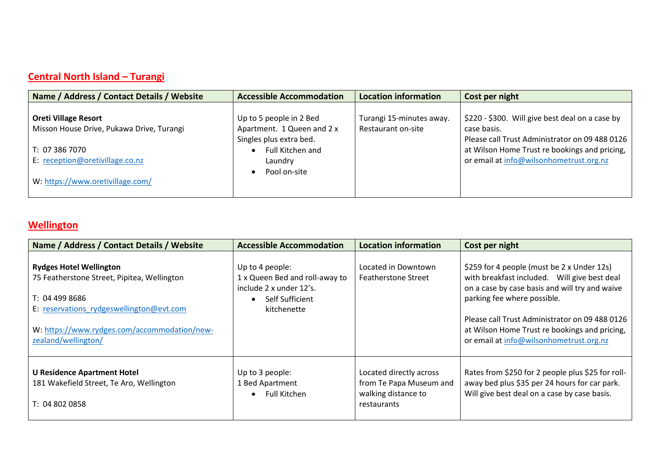## **Central North Island – Turangi**

| Name / Address / Contact Details / Website                               | <b>Accessible Accommodation</b>                                                  | <b>Location information</b>                    | Cost per night                                                                                                   |
|--------------------------------------------------------------------------|----------------------------------------------------------------------------------|------------------------------------------------|------------------------------------------------------------------------------------------------------------------|
| <b>Oreti Village Resort</b><br>Misson House Drive, Pukawa Drive, Turangi | Up to 5 people in 2 Bed<br>Apartment. 1 Queen and 2 x<br>Singles plus extra bed. | Turangi 15-minutes away.<br>Restaurant on-site | \$220 - \$300. Will give best deal on a case by<br>case basis.<br>Please call Trust Administrator on 09 488 0126 |
| T: 07 386 7070<br>E: reception@oretivillage.co.nz                        | Full Kitchen and<br>Laundry<br>Pool on-site                                      |                                                | at Wilson Home Trust re bookings and pricing,<br>or email at info@wilsonhometrust.org.nz                         |
| W: https://www.oretivillage.com/                                         |                                                                                  |                                                |                                                                                                                  |

#### **Wellington**

| Name / Address / Contact Details / Website                                                                                                                                                                         | <b>Accessible Accommodation</b>                                                                                | <b>Location information</b>                                                              | Cost per night                                                                                                                                                                                                                                                                                                            |
|--------------------------------------------------------------------------------------------------------------------------------------------------------------------------------------------------------------------|----------------------------------------------------------------------------------------------------------------|------------------------------------------------------------------------------------------|---------------------------------------------------------------------------------------------------------------------------------------------------------------------------------------------------------------------------------------------------------------------------------------------------------------------------|
| <b>Rydges Hotel Wellington</b><br>75 Featherstone Street, Pipitea, Wellington<br>T: 04 499 8686<br>E: reservations rydgeswellington@evt.com<br>W: https://www.rydges.com/accommodation/new-<br>zealand/wellington/ | Up to 4 people:<br>1 x Queen Bed and roll-away to<br>include 2 x under 12's.<br>Self Sufficient<br>kitchenette | Located in Downtown<br><b>Featherstone Street</b>                                        | \$259 for 4 people (must be 2 x Under 12s)<br>with breakfast included. Will give best deal<br>on a case by case basis and will try and waive<br>parking fee where possible.<br>Please call Trust Administrator on 09 488 0126<br>at Wilson Home Trust re bookings and pricing,<br>or email at info@wilsonhometrust.org.nz |
| <b>U Residence Apartment Hotel</b><br>181 Wakefield Street, Te Aro, Wellington<br>T: 04 802 0858                                                                                                                   | Up to 3 people:<br>1 Bed Apartment<br>Full Kitchen                                                             | Located directly across<br>from Te Papa Museum and<br>walking distance to<br>restaurants | Rates from \$250 for 2 people plus \$25 for roll-<br>away bed plus \$35 per 24 hours for car park.<br>Will give best deal on a case by case basis.                                                                                                                                                                        |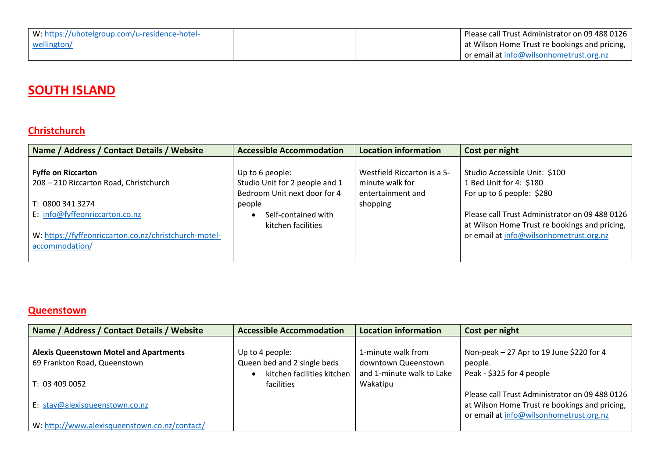| W: https://uhotelgroup.com/u-residence-hotel- |  | Please call Trust Administrator on 09 488 0126 |
|-----------------------------------------------|--|------------------------------------------------|
| wellington/                                   |  | at Wilson Home Trust re bookings and pricing,  |
|                                               |  | or email at info@wilsonhometrust.org.nz        |

# **SOUTH ISLAND**

#### **Christchurch**

| Name / Address / Contact Details / Website                              | <b>Accessible Accommodation</b>                                                   | <b>Location information</b>                                         | Cost per night                                                                                  |
|-------------------------------------------------------------------------|-----------------------------------------------------------------------------------|---------------------------------------------------------------------|-------------------------------------------------------------------------------------------------|
| <b>Fyffe on Riccarton</b><br>208 - 210 Riccarton Road, Christchurch     | Up to 6 people:<br>Studio Unit for 2 people and 1<br>Bedroom Unit next door for 4 | Westfield Riccarton is a 5-<br>minute walk for<br>entertainment and | Studio Accessible Unit: \$100<br>1 Bed Unit for 4: \$180<br>For up to 6 people: \$280           |
| T: 0800 341 3274                                                        | people                                                                            | shopping                                                            |                                                                                                 |
| E: info@fyffeonriccarton.co.nz                                          | Self-contained with<br>kitchen facilities                                         |                                                                     | Please call Trust Administrator on 09 488 0126<br>at Wilson Home Trust re bookings and pricing, |
| W: https://fyffeonriccarton.co.nz/christchurch-motel-<br>accommodation/ |                                                                                   |                                                                     | or email at info@wilsonhometrust.org.nz                                                         |

#### **Queenstown**

| Name / Address / Contact Details / Website    | <b>Accessible Accommodation</b>                | <b>Location information</b>                                  | Cost per night                                                                                                                             |
|-----------------------------------------------|------------------------------------------------|--------------------------------------------------------------|--------------------------------------------------------------------------------------------------------------------------------------------|
| <b>Alexis Queenstown Motel and Apartments</b> | Up to 4 people:<br>Queen bed and 2 single beds | 1-minute walk from                                           | Non-peak - 27 Apr to 19 June \$220 for 4                                                                                                   |
| 69 Frankton Road, Queenstown<br>T: 034090052  | kitchen facilities kitchen<br>facilities       | downtown Queenstown<br>and 1-minute walk to Lake<br>Wakatipu | people.<br>Peak - \$325 for 4 people                                                                                                       |
| E: stay@alexisqueenstown.co.nz                |                                                |                                                              | Please call Trust Administrator on 09 488 0126<br>at Wilson Home Trust re bookings and pricing,<br>or email at info@wilsonhometrust.org.nz |
| W: http://www.alexisqueenstown.co.nz/contact/ |                                                |                                                              |                                                                                                                                            |